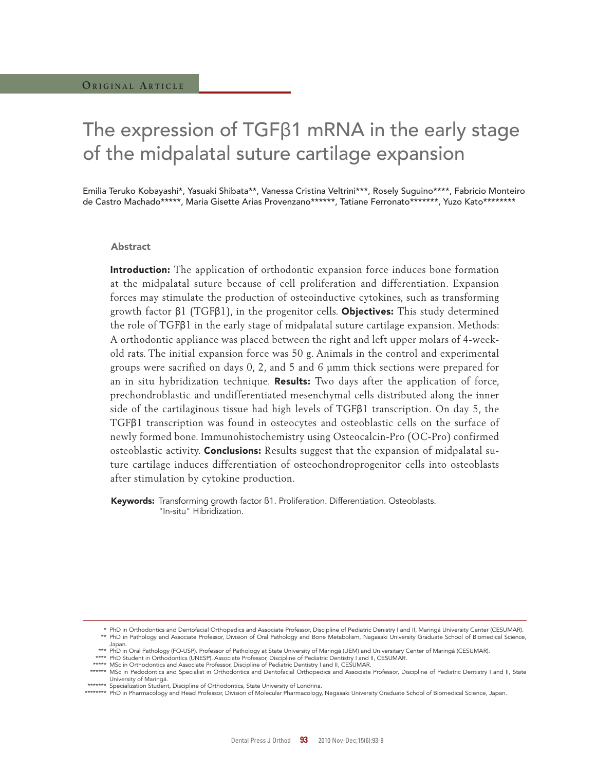# The expression of TGFβ1 mRNA in the early stage of the midpalatal suture cartilage expansion

Emilia Teruko Kobayashi\*, Yasuaki Shibata\*\*, Vanessa Cristina Veltrini\*\*\*, Rosely Suguino\*\*\*\*, Fabricio Monteiro de Castro Machado\*\*\*\*\*, Maria Gisette Arias Provenzano\*\*\*\*\*\*, Tatiane Ferronato\*\*\*\*\*\*\*, Yuzo Kato\*\*\*\*\*\*\*\*

### Abstract

Introduction: The application of orthodontic expansion force induces bone formation at the midpalatal suture because of cell proliferation and differentiation. Expansion forces may stimulate the production of osteoinductive cytokines, such as transforming growth factor  $β1$  (TGF $β1$ ), in the progenitor cells. **Objectives:** This study determined the role of TGFβ1 in the early stage of midpalatal suture cartilage expansion. Methods: A orthodontic appliance was placed between the right and left upper molars of 4-weekold rats. The initial expansion force was 50 g. Animals in the control and experimental groups were sacrified on days 0, 2, and 5 and 6 µmm thick sections were prepared for an in situ hybridization technique. **Results:** Two days after the application of force, prechondroblastic and undifferentiated mesenchymal cells distributed along the inner side of the cartilaginous tissue had high levels of TGFβ1 transcription. On day 5, the TGFβ1 transcription was found in osteocytes and osteoblastic cells on the surface of newly formed bone. Immunohistochemistry using Osteocalcin-Pro (OC-Pro) confirmed osteoblastic activity. **Conclusions:** Results suggest that the expansion of midpalatal suture cartilage induces differentiation of osteochondroprogenitor cells into osteoblasts after stimulation by cytokine production.

Keywords: Transforming growth factor ß1. Proliferation. Differentiation. Osteoblasts. "In-situ" Hibridization.

 <sup>\*</sup> PhD in Orthodontics and Dentofacial Orthopedics and Associate Professor, Discipline of Pediatric Denistry I and II, Maringá University Center (CESUMAR). \*\* PhD in Pathology and Associate Professor, Division of Oral Pathology and Bone Metabolism, Nagasaki University Graduate School of Biomedical Science, Japan.

<sup>\*\*\*</sup> PhD in Oral Pathology (FO-USP). Professor of Pathology at State University of Maringá (UEM) and Universitary Center of Maringá (CESUMAR).<br>\*\*\*\* PhD Student in Orthodontics (UNESP). Associate Professor, Discipline of P

<sup>\*\*\*\*\*</sup> MSc in Orthodontics and Associate Professor, Discipline of Pediatric Dentistry I and II, CESUMAR.

 <sup>\*\*\*\*\*\*</sup> MSc in Pedodontics and Specialist in Orthodontics and Dentofacial Orthopedics and Associate Professor, Discipline of Pediatric Dentistry I and II, State University of Maringá.

<sup>\*\*\*\*\*\*\*</sup> Specialization Student, Discipline of Orthodontics, State University of Londrina.

 <sup>\*\*\*\*\*\*\*\*</sup> PhD in Pharmacology and Head Professor, Division of Molecular Pharmacology, Nagasaki University Graduate School of Biomedical Science, Japan.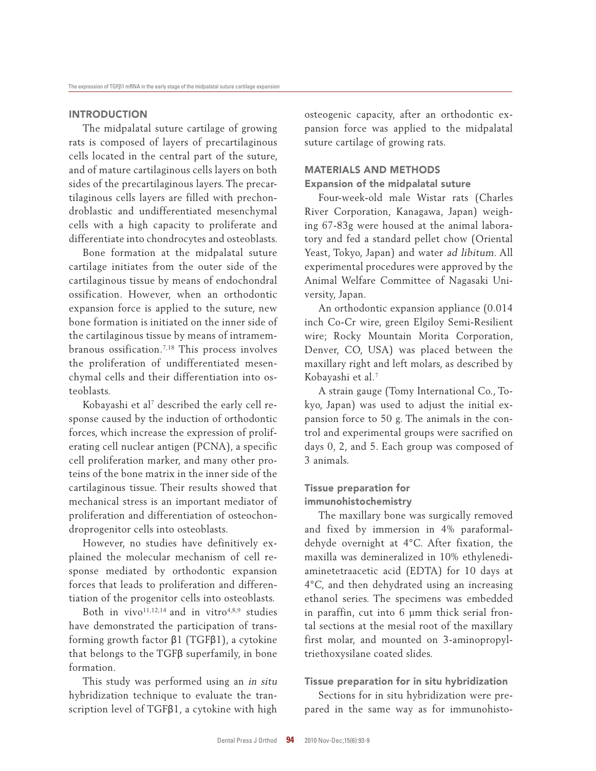## **INTRODUCTION**

The midpalatal suture cartilage of growing rats is composed of layers of precartilaginous cells located in the central part of the suture, and of mature cartilaginous cells layers on both sides of the precartilaginous layers. The precartilaginous cells layers are filled with prechondroblastic and undifferentiated mesenchymal cells with a high capacity to proliferate and differentiate into chondrocytes and osteoblasts.

Bone formation at the midpalatal suture cartilage initiates from the outer side of the cartilaginous tissue by means of endochondral ossification. However, when an orthodontic expansion force is applied to the suture, new bone formation is initiated on the inner side of the cartilaginous tissue by means of intramembranous ossification.7,18 This process involves the proliferation of undifferentiated mesenchymal cells and their differentiation into osteoblasts.

Kobayashi et al $^7$  described the early cell response caused by the induction of orthodontic forces, which increase the expression of proliferating cell nuclear antigen (PCNA), a specific cell proliferation marker, and many other proteins of the bone matrix in the inner side of the cartilaginous tissue. Their results showed that mechanical stress is an important mediator of proliferation and differentiation of osteochondroprogenitor cells into osteoblasts.

However, no studies have definitively explained the molecular mechanism of cell response mediated by orthodontic expansion forces that leads to proliferation and differentiation of the progenitor cells into osteoblasts.

Both in vivo $11,12,14$  and in vitro $4,8,9$  studies have demonstrated the participation of transforming growth factor β1 (TGFβ1), a cytokine that belongs to the TGFβ superfamily, in bone formation.

This study was performed using an in situ hybridization technique to evaluate the transcription level of TGFβ1, a cytokine with high osteogenic capacity, after an orthodontic expansion force was applied to the midpalatal suture cartilage of growing rats.

## MAtERIALS AnD MEtHODS

### Expansion of the midpalatal suture

Four-week-old male Wistar rats (Charles River Corporation, Kanagawa, Japan) weighing 67-83g were housed at the animal laboratory and fed a standard pellet chow (Oriental Yeast, Tokyo, Japan) and water ad libitum. All experimental procedures were approved by the Animal Welfare Committee of Nagasaki University, Japan.

An orthodontic expansion appliance (0.014 inch Co-Cr wire, green Elgiloy Semi-Resilient wire; Rocky Mountain Morita Corporation, Denver, CO, USA) was placed between the maxillary right and left molars, as described by Kobayashi et al.<sup>7</sup>

A strain gauge (Tomy International Co., Tokyo, Japan) was used to adjust the initial expansion force to 50 g. The animals in the control and experimental groups were sacrified on days 0, 2, and 5. Each group was composed of 3 animals.

## Tissue preparation for immunohistochemistry

The maxillary bone was surgically removed and fixed by immersion in 4% paraformaldehyde overnight at 4°C. After fixation, the maxilla was demineralized in 10% ethylenediaminetetraacetic acid (EDTA) for 10 days at 4°C, and then dehydrated using an increasing ethanol series. The specimens was embedded in paraffin, cut into 6 µmm thick serial frontal sections at the mesial root of the maxillary first molar, and mounted on 3-aminopropyltriethoxysilane coated slides.

## Tissue preparation for in situ hybridization

Sections for in situ hybridization were prepared in the same way as for immunohisto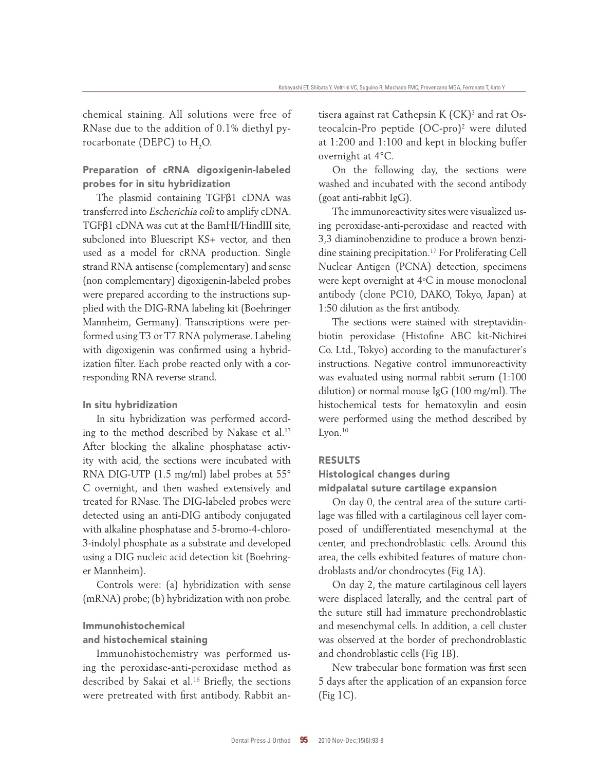chemical staining. All solutions were free of RNase due to the addition of 0.1% diethyl pyrocarbonate (DEPC) to  $H<sub>2</sub>O$ .

## Preparation of cRnA digoxigenin-labeled probes for in situ hybridization

The plasmid containing TGFβ1 cDNA was transferred into Escherichia coli to amplify cDNA. TGFβ1 cDNA was cut at the BamHI/HindIII site, subcloned into Bluescript KS+ vector, and then used as a model for cRNA production. Single strand RNA antisense (complementary) and sense (non complementary) digoxigenin-labeled probes were prepared according to the instructions supplied with the DIG-RNA labeling kit (Boehringer Mannheim, Germany). Transcriptions were performed using T3 or T7 RNA polymerase. Labeling with digoxigenin was confirmed using a hybridization filter. Each probe reacted only with a corresponding RNA reverse strand.

### In situ hybridization

In situ hybridization was performed according to the method described by Nakase et al.<sup>13</sup> After blocking the alkaline phosphatase activity with acid, the sections were incubated with RNA DIG-UTP (1.5 mg/ml) label probes at 55° C overnight, and then washed extensively and treated for RNase. The DIG-labeled probes were detected using an anti-DIG antibody conjugated with alkaline phosphatase and 5-bromo-4-chloro-3-indolyl phosphate as a substrate and developed using a DIG nucleic acid detection kit (Boehringer Mannheim).

Controls were: (a) hybridization with sense (mRNA) probe; (b) hybridization with non probe.

## Immunohistochemical

## and histochemical staining

Immunohistochemistry was performed using the peroxidase-anti-peroxidase method as described by Sakai et al.<sup>16</sup> Briefly, the sections were pretreated with first antibody. Rabbit an-

tisera against rat Cathepsin K (CK)<sup>3</sup> and rat Osteocalcin-Pro peptide (OC-pro)<sup>2</sup> were diluted at 1:200 and 1:100 and kept in blocking buffer overnight at 4°C.

On the following day, the sections were washed and incubated with the second antibody (goat anti-rabbit IgG).

The immunoreactivity sites were visualized using peroxidase-anti-peroxidase and reacted with 3,3 diaminobenzidine to produce a brown benzidine staining precipitation.<sup>17</sup> For Proliferating Cell Nuclear Antigen (PCNA) detection, specimens were kept overnight at  $4^{\circ}$ C in mouse monoclonal antibody (clone PC10, DAKO, Tokyo, Japan) at 1:50 dilution as the first antibody.

The sections were stained with streptavidinbiotin peroxidase (Histofine ABC kit-Nichirei Co. Ltd., Tokyo) according to the manufacturer's instructions. Negative control immunoreactivity was evaluated using normal rabbit serum (1:100 dilution) or normal mouse IgG (100 mg/ml). The histochemical tests for hematoxylin and eosin were performed using the method described by  $L$ von. $^{10}$ 

#### RESULTS

## Histological changes during midpalatal suture cartilage expansion

On day 0, the central area of the suture cartilage was filled with a cartilaginous cell layer composed of undifferentiated mesenchymal at the center, and prechondroblastic cells. Around this area, the cells exhibited features of mature chondroblasts and/or chondrocytes (Fig 1A).

On day 2, the mature cartilaginous cell layers were displaced laterally, and the central part of the suture still had immature prechondroblastic and mesenchymal cells. In addition, a cell cluster was observed at the border of prechondroblastic and chondroblastic cells (Fig 1B).

New trabecular bone formation was first seen 5 days after the application of an expansion force (Fig 1C).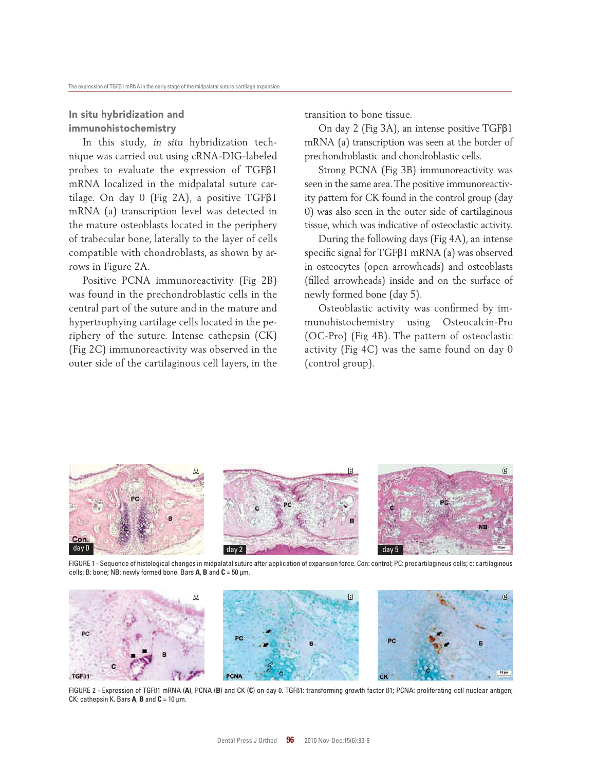## In situ hybridization and immunohistochemistry

In this study, in situ hybridization technique was carried out using cRNA-DIG-labeled probes to evaluate the expression of TGFβ1 mRNA localized in the midpalatal suture cartilage. On day 0 (Fig 2A), a positive TGFβ1 mRNA (a) transcription level was detected in the mature osteoblasts located in the periphery of trabecular bone, laterally to the layer of cells compatible with chondroblasts, as shown by arrows in Figure 2A.

Positive PCNA immunoreactivity (Fig 2B) was found in the prechondroblastic cells in the central part of the suture and in the mature and hypertrophying cartilage cells located in the periphery of the suture. Intense cathepsin (CK) (Fig 2C) immunoreactivity was observed in the outer side of the cartilaginous cell layers, in the transition to bone tissue.

On day 2 (Fig 3A), an intense positive TGFβ1 mRNA (a) transcription was seen at the border of prechondroblastic and chondroblastic cells.

Strong PCNA (Fig 3B) immunoreactivity was seen in the same area. The positive immunoreactivity pattern for CK found in the control group (day 0) was also seen in the outer side of cartilaginous tissue, which was indicative of osteoclastic activity.

During the following days (Fig 4A), an intense specific signal for TGFβ1 mRNA (a) was observed in osteocytes (open arrowheads) and osteoblasts (filled arrowheads) inside and on the surface of newly formed bone (day 5).

Osteoblastic activity was confirmed by immunohistochemistry using Osteocalcin-Pro (OC-Pro) (Fig 4B). The pattern of osteoclastic activity (Fig 4C) was the same found on day 0 (control group).



FIGURE 1 - Sequence of histological changes in midpalatal suture after application of expansion force. Con: control; PC: precartilaginous cells; c: cartilaginous cells; B: bone; NB: newly formed bone. Bars **A**, **B** and **C** = 50 µm.



FIGURE 2 - Expression of TGFß1 mRNA (**A**), PCNA (**B**) and CK (**C**) on day 0. TGFß1: transforming growth factor ß1; PCNA: proliferating cell nuclear antigen; CK: cathepsin K. Bars  $A$ ,  $B$  and  $C = 10$   $\mu$ m.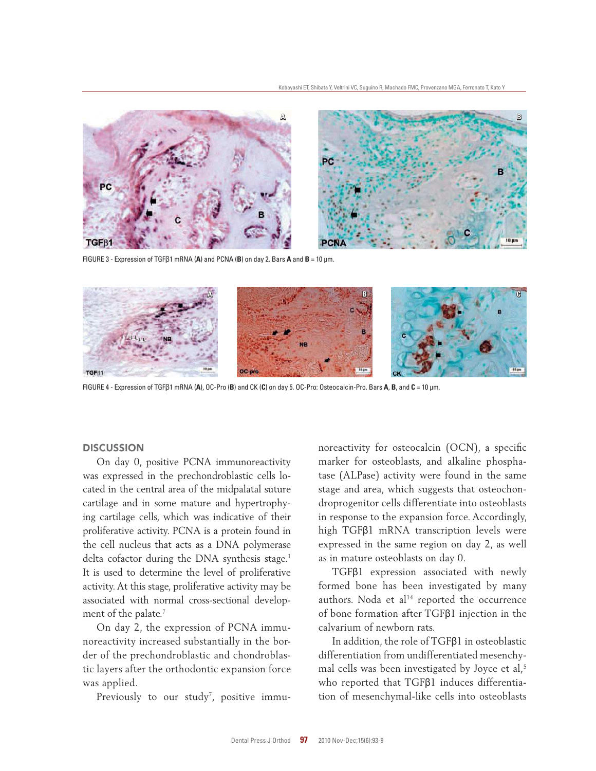

FIGURE 3 - Expression of TGFβ1 mRNA (**A**) and PCNA (**B**) on day 2. Bars **A** and **B** = 10 µm.



FIGURE 4 - Expression of TGFβ1 mRNA (**A**), OC-Pro (**B**) and CK (**C**) on day 5. OC-Pro: Osteocalcin-Pro. Bars **A**, **B**, and **C** = 10 µm.

#### **DISCUSSION**

On day 0, positive PCNA immunoreactivity was expressed in the prechondroblastic cells located in the central area of the midpalatal suture cartilage and in some mature and hypertrophying cartilage cells, which was indicative of their proliferative activity. PCNA is a protein found in the cell nucleus that acts as a DNA polymerase delta cofactor during the DNA synthesis stage.<sup>1</sup> It is used to determine the level of proliferative activity. At this stage, proliferative activity may be associated with normal cross-sectional development of the palate.<sup>7</sup>

On day 2, the expression of PCNA immunoreactivity increased substantially in the border of the prechondroblastic and chondroblastic layers after the orthodontic expansion force was applied.

Previously to our study<sup>7</sup>, positive immu-

noreactivity for osteocalcin (OCN), a specific marker for osteoblasts, and alkaline phosphatase (ALPase) activity were found in the same stage and area, which suggests that osteochondroprogenitor cells differentiate into osteoblasts in response to the expansion force. Accordingly, high TGFβ1 mRNA transcription levels were expressed in the same region on day 2, as well as in mature osteoblasts on day 0.

TGFβ1 expression associated with newly formed bone has been investigated by many authors. Noda et al<sup>14</sup> reported the occurrence of bone formation after TGFβ1 injection in the calvarium of newborn rats.

In addition, the role of TGFβ1 in osteoblastic differentiation from undifferentiated mesenchymal cells was been investigated by Joyce et al,<sup>5</sup> who reported that TGFβ1 induces differentiation of mesenchymal-like cells into osteoblasts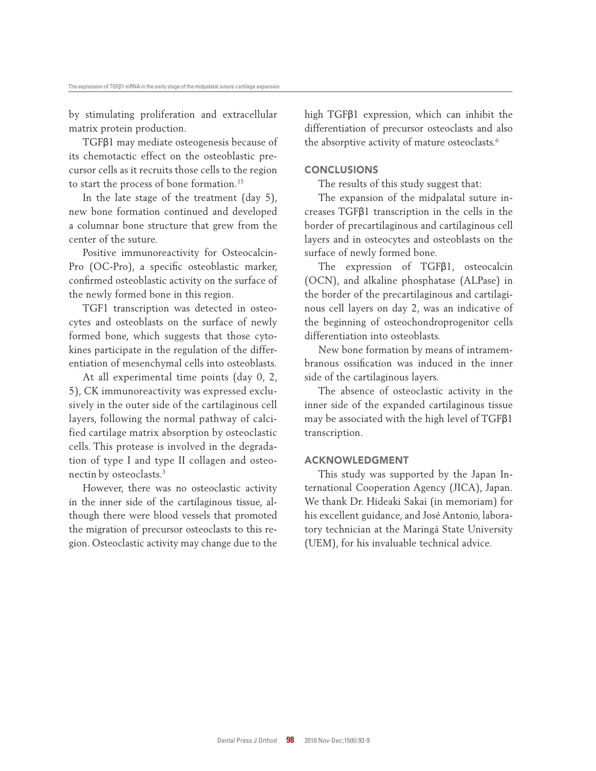by stimulating proliferation and extracellular matrix protein production.

TGFβ1 may mediate osteogenesis because of its chemotactic effect on the osteoblastic precursor cells as it recruits those cells to the region to start the process of bone formation.<sup>15</sup>

In the late stage of the treatment (day 5), new bone formation continued and developed a columnar bone structure that grew from the center of the suture.

Positive immunoreactivity for Osteocalcin-Pro (OC-Pro), a specific osteoblastic marker, confirmed osteoblastic activity on the surface of the newly formed bone in this region.

TGF1 transcription was detected in osteocytes and osteoblasts on the surface of newly formed bone, which suggests that those cytokines participate in the regulation of the differentiation of mesenchymal cells into osteoblasts.

At all experimental time points (day 0, 2, 5), CK immunoreactivity was expressed exclusively in the outer side of the cartilaginous cell layers, following the normal pathway of calcified cartilage matrix absorption by osteoclastic cells. This protease is involved in the degradation of type I and type II collagen and osteonectin by osteoclasts.<sup>3</sup>

However, there was no osteoclastic activity in the inner side of the cartilaginous tissue, although there were blood vessels that promoted the migration of precursor osteoclasts to this region. Osteoclastic activity may change due to the high TGFβ1 expression, which can inhibit the differentiation of precursor osteoclasts and also the absorptive activity of mature osteoclasts.<sup>6</sup>

#### **CONCLUSIONS**

The results of this study suggest that:

The expansion of the midpalatal suture increases TGFβ1 transcription in the cells in the border of precartilaginous and cartilaginous cell layers and in osteocytes and osteoblasts on the surface of newly formed bone.

The expression of TGFβ1, osteocalcin (OCN), and alkaline phosphatase (ALPase) in the border of the precartilaginous and cartilaginous cell layers on day 2, was an indicative of the beginning of osteochondroprogenitor cells differentiation into osteoblasts.

New bone formation by means of intramembranous ossification was induced in the inner side of the cartilaginous layers.

The absence of osteoclastic activity in the inner side of the expanded cartilaginous tissue may be associated with the high level of TGFβ1 transcription.

#### **ACKNOWLEDGMENT**

This study was supported by the Japan International Cooperation Agency (JICA), Japan. We thank Dr. Hideaki Sakai (in memoriam) for his excellent guidance, and José Antonio, laboratory technician at the Maringá State University (UEM), for his invaluable technical advice.